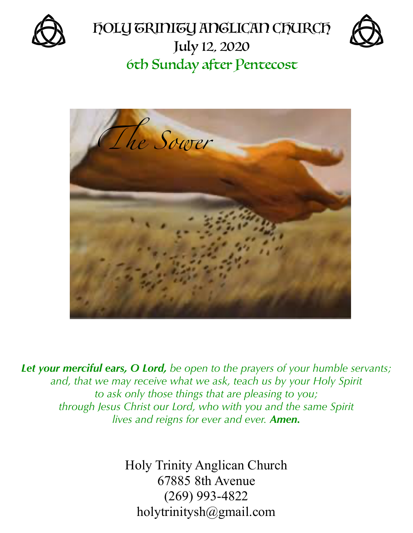







*Let your merciful ears, O Lord, be open to the prayers of your humble servants; and, that we may receive what we ask, teach us by your Holy Spirit to ask only those things that are pleasing to you; through Jesus Christ our Lord, who with you and the same Spirit lives and reigns for ever and ever. Amen.*

> Holy Trinity Anglican Church 67885 8th Avenue (269) 993-4822 [holytrinitysh@gmail.com](mailto:holytrinitysh@gmail.com)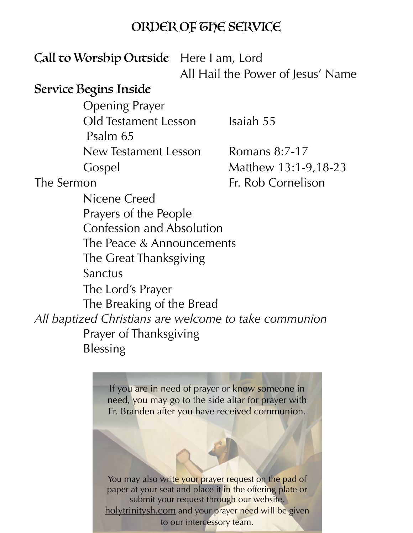#### ORDER OF THE SERVICE

### Call to Worship Outside Here I am, Lord

All Hail the Power of Jesus' Name

#### Service Begins Inside

Opening Prayer Old Testament Lesson Isaiah 55 Psalm 65 New Testament Lesson Romans 8:7-17 Gospel Matthew 13:1-9,18-23

Nicene Creed

The Sermon Fr. Rob Cornelison

 Prayers of the People Confession and Absolution The Peace & Announcements The Great Thanksgiving Sanctus The Lord's Prayer The Breaking of the Bread *All baptized Christians are welcome to take communion*  Prayer of Thanksgiving Blessing

> If you are in need of prayer or know someone in need, you may go to the side altar for prayer with Fr. Branden after you have received communion.

> You may also write your prayer request on the pad of paper at your seat and place it in the offering plate or submit your request through our website, [holytrinitysh.com](http://holytrinitysh.com) and your prayer need will be given to our intercessory team.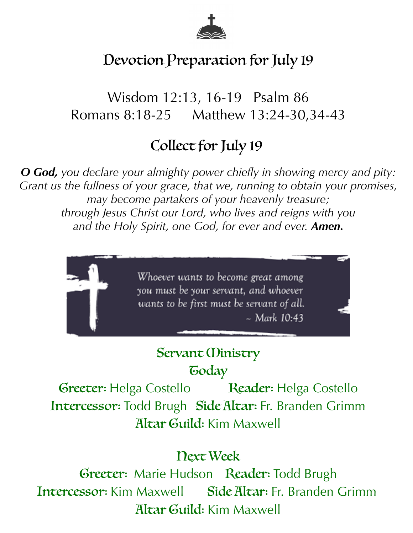

# Devotion Preparation for July 19

Wisdom 12:13, 16-19 Psalm 86 Romans 8:18-25 Matthew 13:24-30,34-43

# Collect for July 19

*O God, you declare your almighty power chiefly in showing mercy and pity: Grant us the fullness of your grace, that we, running to obtain your promises, may become partakers of your heavenly treasure; through Jesus Christ our Lord, who lives and reigns with you and the Holy Spirit, one God, for ever and ever. Amen.*



## Servant *(Dinistry* **Today**

Greeter: Helga Costello Reader: Helga Costello Intercessor: Todd Brugh Side Altar: Fr. Branden Grimm Altar Guild: Kim Maxwell

## Next Week

Greeter: Marie Hudson Reader: Todd Brugh Intercessor: Kim Maxwell Side Altar: Fr. Branden Grimm Altar Guild: Kim Maxwell